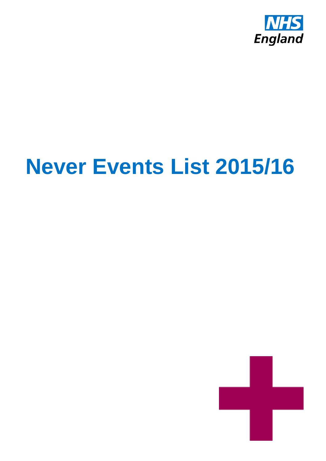

# **Never Events List 2015/16**

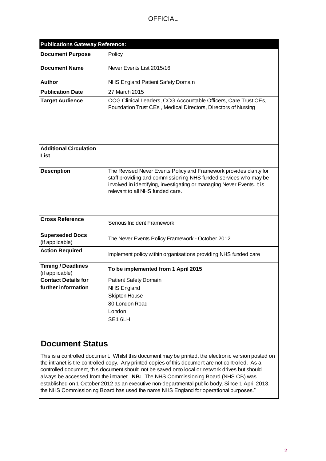| <b>Publications Gateway Reference:</b>       |                                                                                                                                                                                                                                                      |
|----------------------------------------------|------------------------------------------------------------------------------------------------------------------------------------------------------------------------------------------------------------------------------------------------------|
| <b>Document Purpose</b>                      | Policy                                                                                                                                                                                                                                               |
| <b>Document Name</b>                         | Never Events List 2015/16                                                                                                                                                                                                                            |
| Author                                       | NHS England Patient Safety Domain                                                                                                                                                                                                                    |
| <b>Publication Date</b>                      | 27 March 2015                                                                                                                                                                                                                                        |
| <b>Target Audience</b>                       | CCG Clinical Leaders, CCG Accountable Officers, Care Trust CEs,<br>Foundation Trust CEs, Medical Directors, Directors of Nursing                                                                                                                     |
| <b>Additional Circulation</b><br>List        |                                                                                                                                                                                                                                                      |
| <b>Description</b>                           | The Revised Never Events Policy and Framework provides clarity for<br>staff providing and commissioning NHS funded services who may be<br>involved in identifying, investigating or managing Never Events. It is<br>relevant to all NHS funded care. |
| <b>Cross Reference</b>                       | Serious Incident Framework                                                                                                                                                                                                                           |
| <b>Superseded Docs</b><br>(if applicable)    | The Never Events Policy Framework - October 2012                                                                                                                                                                                                     |
| <b>Action Required</b>                       | Implement policy within organisations providing NHS funded care                                                                                                                                                                                      |
| <b>Timing / Deadlines</b><br>(if applicable) | To be implemented from 1 April 2015                                                                                                                                                                                                                  |
| <b>Contact Details for</b>                   | <b>Patient Safety Domain</b>                                                                                                                                                                                                                         |
| further information                          | <b>NHS England</b>                                                                                                                                                                                                                                   |
|                                              | <b>Skipton House</b>                                                                                                                                                                                                                                 |
|                                              | 80 London Road                                                                                                                                                                                                                                       |
|                                              | London                                                                                                                                                                                                                                               |
|                                              | SE16LH                                                                                                                                                                                                                                               |

# **Document Status**

This is a controlled document. Whilst this document may be printed, the electronic version posted on the intranet is the controlled copy. Any printed copies of this document are not controlled. As a controlled document, this document should not be saved onto local or network drives but should always be accessed from the intranet. **NB:** The NHS Commissioning Board (NHS CB) was established on 1 October 2012 as an executive non-departmental public body. Since 1 April 2013, the NHS Commissioning Board has used the name NHS England for operational purposes."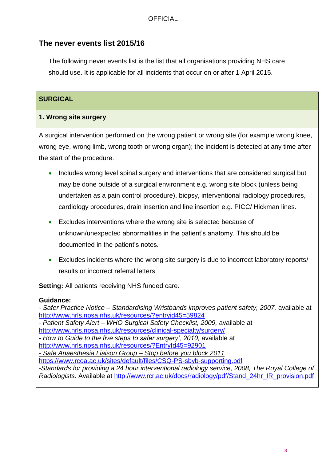# **The never events list 2015/16**

The following never events list is the list that all organisations providing NHS care should use. It is applicable for all incidents that occur on or after 1 April 2015.

## **SURGICAL**

#### **1. Wrong site surgery**

A surgical intervention performed on the wrong patient or wrong site (for example wrong knee, wrong eye, wrong limb, wrong tooth or wrong organ); the incident is detected at any time after the start of the procedure.

- Includes wrong level spinal surgery and interventions that are considered surgical but may be done outside of a surgical environment e.g. wrong site block (unless being undertaken as a pain control procedure), biopsy, interventional radiology procedures, cardiology procedures, drain insertion and line insertion e.g. PICC/ Hickman lines.
- Excludes interventions where the wrong site is selected because of unknown/unexpected abnormalities in the patient's anatomy. This should be documented in the patient's notes.
- Excludes incidents where the wrong site surgery is due to incorrect laboratory reports/ results or incorrect referral letters

**Setting:** All patients receiving NHS funded care.

#### **Guidance:**

*- Safer Practice Notice – Standardising Wristbands improves patient safety, 2007,* available at <http://www.nrls.npsa.nhs.uk/resources/?entryid45=59824> *- Patient Safety Alert – WHO Surgical Safety Checklist, 2009,* available at <http://www.nrls.npsa.nhs.uk/resources/clinical-specialty/surgery/> - *How to Guide to the five steps to safer surgery', 2010,* available at <http://www.nrls.npsa.nhs.uk/resources/?EntryId45=92901> *- Safe Anaesthesia Liaison Group – Stop before you block 2011* <https://www.rcoa.ac.uk/sites/default/files/CSQ-PS-sbyb-supporting.pdf> *-Standards for providing a 24 hour interventional radiology service, 2008, The Royal College of Radiologists.* Available at [http://www.rcr.ac.uk/docs/radiology/pdf/Stand\\_24hr\\_IR\\_provision.pdf](http://www.rcr.ac.uk/docs/radiology/pdf/Stand_24hr_IR_provision.pdf)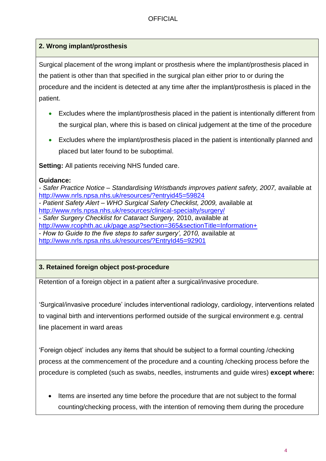## **2. Wrong implant/prosthesis**

Surgical placement of the wrong implant or prosthesis where the implant/prosthesis placed in the patient is other than that specified in the surgical plan either prior to or during the procedure and the incident is detected at any time after the implant/prosthesis is placed in the patient.

- Excludes where the implant/prosthesis placed in the patient is intentionally different from the surgical plan, where this is based on clinical judgement at the time of the procedure
- Excludes where the implant/prosthesis placed in the patient is intentionally planned and placed but later found to be suboptimal.

**Setting:** All patients receiving NHS funded care.

#### **Guidance:**

*- Safer Practice Notice – Standardising Wristbands improves patient safety, 2007,* available at <http://www.nrls.npsa.nhs.uk/resources/?entryid45=59824> *- Patient Safety Alert – WHO Surgical Safety Checklist, 2009,* available at <http://www.nrls.npsa.nhs.uk/resources/clinical-specialty/surgery/> - *Safer Surgery Checklist for Cataract Surgery,* 2010, available at [http://www.rcophth.ac.uk/page.asp?section=365&sectionTitle=Information+](http://www.rcophth.ac.uk/page.asp?section=365§ionTitle=Information+) - *How to Guide to the five steps to safer surgery', 2010,* available at <http://www.nrls.npsa.nhs.uk/resources/?EntryId45=92901>

## **3. Retained foreign object post-procedure**

Retention of a foreign object in a patient after a surgical/invasive procedure.

'Surgical/invasive procedure' includes interventional radiology, cardiology, interventions related to vaginal birth and interventions performed outside of the surgical environment e.g. central line placement in ward areas

'Foreign object' includes any items that should be subject to a formal counting /checking process at the commencement of the procedure and a counting /checking process before the procedure is completed (such as swabs, needles, instruments and guide wires) **except where:**

• Items are inserted any time before the procedure that are not subject to the formal counting/checking process, with the intention of removing them during the procedure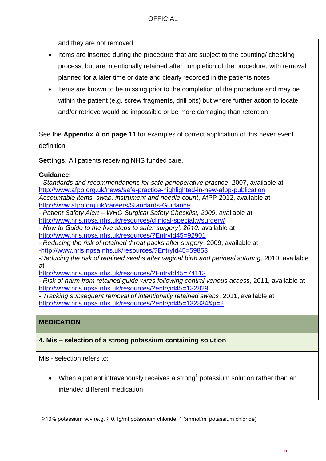and they are not removed

- Items are inserted during the procedure that are subject to the counting/ checking process, but are intentionally retained after completion of the procedure, with removal planned for a later time or date and clearly recorded in the patients notes
- Items are known to be missing prior to the completion of the procedure and may be within the patient (e.g. screw fragments, drill bits) but where further action to locate and/or retrieve would be impossible or be more damaging than retention

See the **Appendix A on page 11** for examples of correct application of this never event definition.

**Settings:** All patients receiving NHS funded care.

#### **Guidance:**

*- Standards and recommendations for safe perioperative practice*, 2007, available at <http://www.afpp.org.uk/news/safe-practice-highlighted-in-new-afpp-publication> *Accountable items, swab, instrument and needle count*, AfPP 2012, available at <http://www.afpp.org.uk/careers/Standards-Guidance>

*- Patient Safety Alert – WHO Surgical Safety Checklist, 2009,* available at <http://www.nrls.npsa.nhs.uk/resources/clinical-specialty/surgery/>

- *How to Guide to the five steps to safer surgery', 2010,* available at <http://www.nrls.npsa.nhs.uk/resources/?EntryId45=92901>

- *Reducing the risk of retained throat packs after surgery*, 2009, available at [-http://www.nrls.npsa.nhs.uk/resources/?EntryId45=59853](http://www.nrls.npsa.nhs.uk/resources/?EntryId45=59853)

*-Reducing the risk of retained swabs after vaginal birth and perineal suturing,* 2010, available at

[http://www.nrls.npsa.nhs.uk/resources/?EntryId45=7](http://www.nrls.npsa.nhs.uk/resources/?EntryId45=59853)4113

- *Risk of harm from retained guide wires following central venous access*, 2011, available at <http://www.nrls.npsa.nhs.uk/resources/?entryid45=132829>

*- Tracking subsequent removal of intentionally retained swabs*, 2011, available at <http://www.nrls.npsa.nhs.uk/resources/?entryid45=132834&p=2>

#### **MEDICATION**

#### **4. Mis – selection of a strong potassium containing solution**

Mis - selection refers to:

• When a patient intravenously receives a strong<sup>1</sup> potassium solution rather than an intended different medication

l <sup>1</sup> ≥10% potassium w/v (e.g. ≥ 0.1g/ml potassium chloride, 1.3mmol/ml potassium chloride)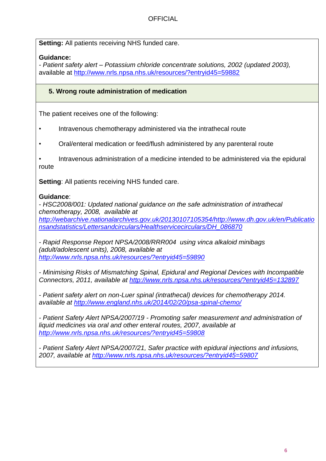**Setting:** All patients receiving NHS funded care.

### **Guidance:**

*- Patient safety alert – Potassium chloride concentrate solutions, 2002 (updated 2003),* available at<http://www.nrls.npsa.nhs.uk/resources/?entryid45=59882>

### **5. Wrong route administration of medication**

The patient receives one of the following:

- Intravenous chemotherapy administered via the intrathecal route
- Oral/enteral medication or feed/flush administered by any parenteral route

• Intravenous administration of a medicine intended to be administered via the epidural route

**Setting: All patients receiving NHS funded care.** 

#### **Guidance**:

- *HSC2008/001: Updated national guidance on the safe administration of intrathecal chemotherapy, 2008, available at [http://webarchive.nationalarchives.gov.uk/20130107105354/http://www.dh.gov.uk/en/Publicatio](http://webarchive.nationalarchives.gov.uk/20130107105354/http:/www.dh.gov.uk/en/Publicationsandstatistics/Lettersandcirculars/Healthservicecirculars/DH_086870) [nsandstatistics/Lettersandcirculars/Healthservicecirculars/DH\\_086870](http://webarchive.nationalarchives.gov.uk/20130107105354/http:/www.dh.gov.uk/en/Publicationsandstatistics/Lettersandcirculars/Healthservicecirculars/DH_086870)*

*- Rapid Response Report NPSA/2008/RRR004 using vinca alkaloid minibags (adult/adolescent units), 2008, available at <http://www.nrls.npsa.nhs.uk/resources/?entryid45=59890>*

*- Minimising Risks of Mismatching Spinal, Epidural and Regional Devices with Incompatible Connectors, 2011, available at<http://www.nrls.npsa.nhs.uk/resources/?entryid45=132897>*

*- Patient safety alert on non-Luer spinal (intrathecal) devices for chemotherapy 2014. available at<http://www.england.nhs.uk/2014/02/20/psa-spinal-chemo/>*

*- Patient Safety Alert NPSA/2007/19 - Promoting safer measurement and administration of liquid medicines via oral and other enteral routes, 2007, available at <http://www.nrls.npsa.nhs.uk/resources/?entryid45=59808>*

*- Patient Safety Alert NPSA/2007/21, Safer practice with epidural injections and infusions, 2007, available at<http://www.nrls.npsa.nhs.uk/resources/?entryid45=59807>*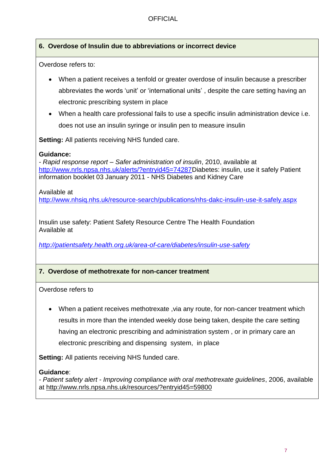## **6. Overdose of Insulin due to abbreviations or incorrect device**

Overdose refers to:

- When a patient receives a tenfold or greater overdose of insulin because a prescriber abbreviates the words 'unit' or 'international units' , despite the care setting having an electronic prescribing system in place
- When a health care professional fails to use a specific insulin administration device i.e. does not use an insulin syringe or insulin pen to measure insulin

**Setting:** All patients receiving NHS funded care.

#### **Guidance:**

*- Rapid response report – Safer administration of insulin*, 2010, available at [http://www.nrls.npsa.nhs.uk/alerts/?entryid45=74287D](http://www.nrls.npsa.nhs.uk/alerts/?entryid45=74287)iabetes: insulin, use it safely Patient information booklet 03 January 2011 - NHS Diabetes and Kidney Care

Available at

<http://www.nhsiq.nhs.uk/resource-search/publications/nhs-dakc-insulin-use-it-safely.aspx>

Insulin use safety: Patient Safety Resource Centre The Health Foundation Available at

*<http://patientsafety.health.org.uk/area-of-care/diabetes/insulin-use-safety>*

## **7. Overdose of methotrexate for non-cancer treatment**

Overdose refers to

 When a patient receives methotrexate ,via any route, for non-cancer treatment which results in more than the intended weekly dose being taken, despite the care setting having an electronic prescribing and administration system , or in primary care an electronic prescribing and dispensing system, in place

**Setting:** All patients receiving NHS funded care.

#### **Guidance**:

*- Patient safety alert - Improving compliance with oral methotrexate guidelines*, 2006, available at<http://www.nrls.npsa.nhs.uk/resources/?entryid45=59800>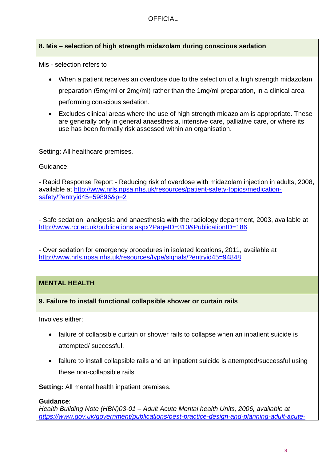### **8. Mis – selection of high strength midazolam during conscious sedation**

Mis - selection refers to

- When a patient receives an overdose due to the selection of a high strength midazolam preparation (5mg/ml or 2mg/ml) rather than the 1mg/ml preparation, in a clinical area performing conscious sedation.
- Excludes clinical areas where the use of high strength midazolam is appropriate. These are generally only in general anaesthesia, intensive care, palliative care, or where its use has been formally risk assessed within an organisation.

Setting: All healthcare premises.

Guidance:

- Rapid Response Report - Reducing risk of overdose with midazolam injection in adults, 2008, available at [http://www.nrls.npsa.nhs.uk/resources/patient-safety-topics/medication](http://www.nrls.npsa.nhs.uk/resources/patient-safety-topics/medication-safety/?entryid45=59896&p=2)[safety/?entryid45=59896&p=2](http://www.nrls.npsa.nhs.uk/resources/patient-safety-topics/medication-safety/?entryid45=59896&p=2)

- Safe sedation, analgesia and anaesthesia with the radiology department, 2003, available at <http://www.rcr.ac.uk/publications.aspx?PageID=310&PublicationID=186>

- Over sedation for emergency procedures in isolated locations, 2011, available at <http://www.nrls.npsa.nhs.uk/resources/type/signals/?entryid45=94848>

#### **MENTAL HEALTH**

#### **9. Failure to install functional collapsible shower or curtain rails**

Involves either;

- failure of collapsible curtain or shower rails to collapse when an inpatient suicide is attempted/ successful.
- failure to install collapsible rails and an inpatient suicide is attempted/successful using these non-collapsible rails

**Setting:** All mental health inpatient premises.

#### **Guidance**:

*Health Building Note (HBN)03-01 – Adult Acute Mental health Units, 2006, available at [https://www.gov.uk/government/publications/best-practice-design-and-planning-adult-acute-](https://www.gov.uk/government/publications/best-practice-design-and-planning-adult-acute-mental-health-units)*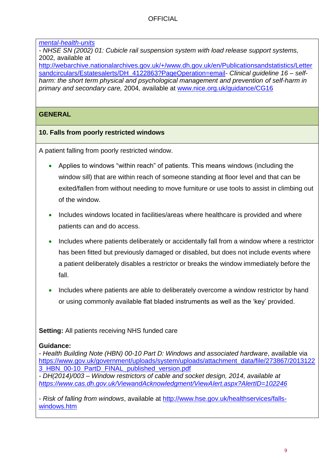#### *[mental-health-units](https://www.gov.uk/government/publications/best-practice-design-and-planning-adult-acute-mental-health-units)*

*- NHSE SN (2002) 01: Cubicle rail suspension system with load release support systems,*  2002*,* available at

[http://webarchive.nationalarchives.gov.uk/+/www.dh.gov.uk/en/Publicationsandstatistics/Letter](http://webarchive.nationalarchives.gov.uk/+/www.dh.gov.uk/en/Publicationsandstatistics/Lettersandcirculars/Estatesalerts/DH_4122863?PageOperation=email) [sandcirculars/Estatesalerts/DH\\_4122863?PageOperation=email](http://webarchive.nationalarchives.gov.uk/+/www.dh.gov.uk/en/Publicationsandstatistics/Lettersandcirculars/Estatesalerts/DH_4122863?PageOperation=email)*- Clinical guideline 16 – selfharm: the short term physical and psychological management and prevention of self-harm in primary and secondary care,* 2004*,* available at [www.nice.org.uk/guidance/CG16](http://www.nice.org.uk/guidance/CG16)

## **GENERAL**

## **10. Falls from poorly restricted windows**

A patient falling from poorly restricted window.

- Applies to windows "within reach" of patients. This means windows (including the window sill) that are within reach of someone standing at floor level and that can be exited/fallen from without needing to move furniture or use tools to assist in climbing out of the window.
- Includes windows located in facilities/areas where healthcare is provided and where patients can and do access.
- Includes where patients deliberately or accidentally fall from a window where a restrictor has been fitted but previously damaged or disabled, but does not include events where a patient deliberately disables a restrictor or breaks the window immediately before the fall.
- Includes where patients are able to deliberately overcome a window restrictor by hand or using commonly available flat bladed instruments as well as the 'key' provided.

**Setting:** All patients receiving NHS funded care

#### **Guidance:**

*- Health Building Note (HBN) 00-10 Part D: Windows and associated hardware*, available via [https://www.gov.uk/government/uploads/system/uploads/attachment\\_data/file/273867/2013122](https://www.gov.uk/government/uploads/system/uploads/attachment_data/file/273867/20131223_HBN_00-10_PartD_FINAL_published_version.pdf) [3\\_HBN\\_00-10\\_PartD\\_FINAL\\_published\\_version.pdf](https://www.gov.uk/government/uploads/system/uploads/attachment_data/file/273867/20131223_HBN_00-10_PartD_FINAL_published_version.pdf)

*- DH(2014)/003 – Window restrictors of cable and socket design, 2014, available at <https://www.cas.dh.gov.uk/ViewandAcknowledgment/ViewAlert.aspx?AlertID=102246>*

- *Risk of falling from windows*, available at [http://www.hse.gov.uk/healthservices/falls](http://www.hse.gov.uk/healthservices/falls-windows.htm)[windows.htm](http://www.hse.gov.uk/healthservices/falls-windows.htm)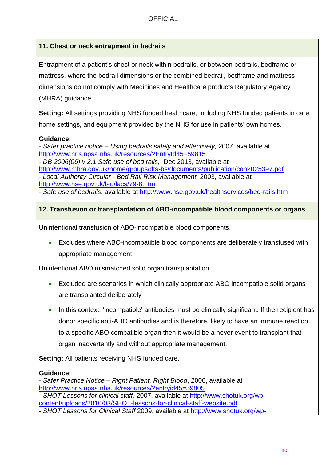## **11. Chest or neck entrapment in bedrails**

Entrapment of a patient's chest or neck within bedrails, or between bedrails, bedframe or mattress, where the bedrail dimensions or the combined bedrail, bedframe and mattress dimensions do not comply with Medicines and Healthcare products Regulatory Agency (MHRA) guidance

**Setting:** All settings providing NHS funded healthcare, including NHS funded patients in care home settings, and equipment provided by the NHS for use in patients' own homes.

#### **Guidance:**

*- Safer practice notice – Using bedrails safely and effectively,* 2007, available at <http://www.nrls.npsa.nhs.uk/resources/?EntryId45=59815>

*- DB 2006(06) v 2.1 Safe use of bed rails,* Dec 2013, available at <http://www.mhra.gov.uk/home/groups/dts-bs/documents/publication/con2025397.pdf> *- Local Authority Circular - Bed Rail Risk Management,* 2003, available at <http://www.hse.gov.uk/lau/lacs/79-8.htm>

- *Safe use of bedrails*, available at<http://www.hse.gov.uk/healthservices/bed-rails.htm>

## **12. Transfusion or transplantation of ABO-incompatible blood components or organs**

Unintentional transfusion of ABO-incompatible blood components.

 Excludes where ABO-incompatible blood components are deliberately transfused with appropriate management.

Unintentional ABO mismatched solid organ transplantation.

- Excluded are scenarios in which clinically appropriate ABO incompatible solid organs are transplanted deliberately
- In this context, 'incompatible' antibodies must be clinically significant. If the recipient has donor specific anti-ABO antibodies and is therefore, likely to have an immune reaction to a specific ABO compatible organ then it would be a never event to transplant that organ inadvertently and without appropriate management.

**Setting:** All patients receiving NHS funded care.

## **Guidance:**

*- Safer Practice Notice – Right Patient, Right Blood*, 2006, available at <http://www.nrls.npsa.nhs.uk/resources/?entryid45=59805> *- SHOT Lessons for clinical staff,* 2007, available at [http://www.shotuk.org/wp](http://www.shotuk.org/wp-content/uploads/2010/03/SHOT-lessons-for-clinical-staff-website.pdf)[content/uploads/2010/03/SHOT-lessons-for-clinical-staff-website.pdf](http://www.shotuk.org/wp-content/uploads/2010/03/SHOT-lessons-for-clinical-staff-website.pdf) *- SHOT Lessons for Clinical Staff* 2009, available at [http://www.shotuk.org/wp-](http://www.shotuk.org/wp-content/uploads/2010/12/Lessons-for-Clinical-Staff-Dec-2010.pdf)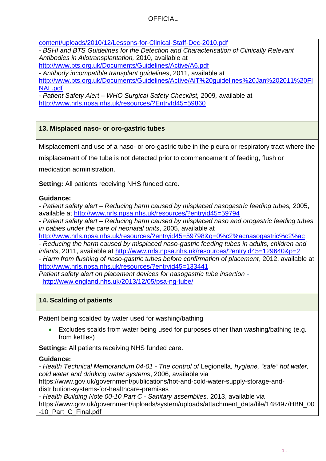[content/uploads/2010/12/Lessons-for-Clinical-Staff-Dec-2010.pdf](http://www.shotuk.org/wp-content/uploads/2010/12/Lessons-for-Clinical-Staff-Dec-2010.pdf)

*- BSHI and BTS Guidelines for the Detection and Characterisation of Clinically Relevant Antibodies in Allotransplantation,* 2010, available at <http://www.bts.org.uk/Documents/Guidelines/Active/A6.pdf>

- *Antibody incompatible transplant guidelines*, 2011, available at [http://www.bts.org.uk/Documents/Guidelines/Active/AiT%20guidelines%20Jan%202011%20FI](http://www.bts.org.uk/Documents/Guidelines/Active/AiT%20guidelines%20Jan%202011%20FINAL.pdf) [NAL.pdf](http://www.bts.org.uk/Documents/Guidelines/Active/AiT%20guidelines%20Jan%202011%20FINAL.pdf)

*- Patient Safety Alert – WHO Surgical Safety Checklist,* 2009*,* available at <http://www.nrls.npsa.nhs.uk/resources/?EntryId45=59860>

## **13. Misplaced naso- or oro-gastric tubes**

Misplacement and use of a naso- or oro-gastric tube in the pleura or respiratory tract where the

misplacement of the tube is not detected prior to commencement of feeding, flush or

medication administration.

**Setting:** All patients receiving NHS funded care.

#### **Guidance:**

*- Patient safety alert – Reducing harm caused by misplaced nasogastric feeding tubes,* 2005, available at [http://www.nrls.npsa.nhs.uk/resources/?entryid45=59794](http://www.nrls.npsa.nhs.uk/resources/?entryid45=59794%20)

*- Patient safety alert – Reducing harm caused by misplaced naso and orogastric feeding tubes in babies under the care of neonatal units*, 2005, available at

[http://www.nrls.npsa.nhs.uk/resources/?entryid45=59798&q=0%c2%acnasogastric%c2%ac](http://www.nrls.npsa.nhs.uk/resources/?entryid45=59798&q=0%25c2%25acnasogastric%25c2%25ac_)

- *Reducing the harm caused by misplaced naso-gastric feeding tubes in adults, children and infants*, 2011, available at<http://www.nrls.npsa.nhs.uk/resources/?entryid45=129640&p=2>

- *Harm from flushing of naso-gastric tubes before confirmation of placement*, 2012. available at <http://www.nrls.npsa.nhs.uk/resources/?entryid45=133441>

*Patient safety alert on placement devices for nasogastric tube insertion* <http://www.england.nhs.uk/2013/12/05/psa-ng-tube/>

#### **14. Scalding of patients**

Patient being scalded by water used for washing/bathing

 Excludes scalds from water being used for purposes other than washing/bathing (e.g. from kettles)

**Settings:** All patients receiving NHS funded care.

#### **Guidance:**

*- Health Technical Memorandum 04-01 - The control of* Legionella*, hygiene, "safe" hot water, cold water and drinking water systems*, 2006, available via

https://www.gov.uk/government/publications/hot-and-cold-water-supply-storage-anddistribution-systems-for-healthcare-premises

*- Health Building Note 00-10 Part C - Sanitary assemblies,* 2013, available via https://www.gov.uk/government/uploads/system/uploads/attachment\_data/file/148497/HBN\_00 -10\_Part\_C\_Final.pdf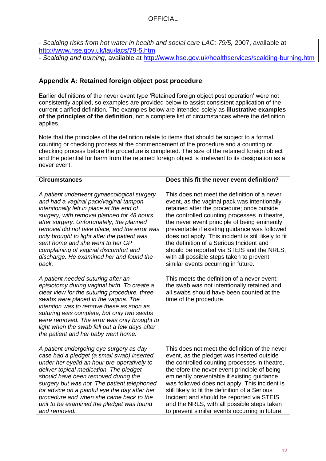*- Scalding risks from hot water in health and social care LAC: 79/5,* 2007, available at <http://www.hse.gov.uk/lau/lacs/79-5.htm>

- *Scalding and burning*, available at<http://www.hse.gov.uk/healthservices/scalding-burning.htm>

### **Appendix A: Retained foreign object post procedure**

Earlier definitions of the never event type 'Retained foreign object post operation' were not consistently applied, so examples are provided below to assist consistent application of the current clarified definition. The examples below are intended solely as **illustrative examples of the principles of the definition**, not a complete list of circumstances where the definition applies.

Note that the principles of the definition relate to items that should be subject to a formal counting or checking process at the commencement of the procedure and a counting or checking process before the procedure is completed. The size of the retained foreign object and the potential for harm from the retained foreign object is irrelevant to its designation as a never event.

| <b>Circumstances</b>                                                                                                                                                                                                                                                                                                                                                                                       | Does this fit the never event definition?                                                                                                                         |
|------------------------------------------------------------------------------------------------------------------------------------------------------------------------------------------------------------------------------------------------------------------------------------------------------------------------------------------------------------------------------------------------------------|-------------------------------------------------------------------------------------------------------------------------------------------------------------------|
| A patient underwent gynaecological surgery                                                                                                                                                                                                                                                                                                                                                                 | This does not meet the definition of a never                                                                                                                      |
| and had a vaginal pack/vaginal tampon                                                                                                                                                                                                                                                                                                                                                                      | event, as the vaginal pack was intentionally                                                                                                                      |
| intentionally left in place at the end of                                                                                                                                                                                                                                                                                                                                                                  | retained after the procedure; once outside                                                                                                                        |
| surgery, with removal planned for 48 hours                                                                                                                                                                                                                                                                                                                                                                 | the controlled counting processes in theatre,                                                                                                                     |
| after surgery. Unfortunately, the planned                                                                                                                                                                                                                                                                                                                                                                  | the never event principle of being eminently                                                                                                                      |
| removal did not take place, and the error was                                                                                                                                                                                                                                                                                                                                                              | preventable if existing guidance was followed                                                                                                                     |
| only brought to light after the patient was                                                                                                                                                                                                                                                                                                                                                                | does not apply. This incident is still likely to fit                                                                                                              |
| sent home and she went to her GP                                                                                                                                                                                                                                                                                                                                                                           | the definition of a Serious Incident and                                                                                                                          |
| complaining of vaginal discomfort and                                                                                                                                                                                                                                                                                                                                                                      | should be reported via STEIS and the NRLS,                                                                                                                        |
| discharge. He examined her and found the                                                                                                                                                                                                                                                                                                                                                                   | with all possible steps taken to prevent                                                                                                                          |
| pack.                                                                                                                                                                                                                                                                                                                                                                                                      | similar events occurring in future.                                                                                                                               |
| A patient needed suturing after an<br>episiotomy during vaginal birth. To create a<br>clear view for the suturing procedure, three<br>swabs were placed in the vagina. The<br>intention was to remove these as soon as<br>suturing was complete, but only two swabs<br>were removed. The error was only brought to<br>light when the swab fell out a few days after<br>the patient and her baby went home. | This meets the definition of a never event;<br>the swab was not intentionally retained and<br>all swabs should have been counted at the<br>time of the procedure. |
| A patient undergoing eye surgery as day                                                                                                                                                                                                                                                                                                                                                                    | This does not meet the definition of the never                                                                                                                    |
| case had a pledget (a small swab) inserted                                                                                                                                                                                                                                                                                                                                                                 | event, as the pledget was inserted outside                                                                                                                        |
| under her eyelid an hour pre-operatively to                                                                                                                                                                                                                                                                                                                                                                | the controlled counting processes in theatre,                                                                                                                     |
| deliver topical medication. The pledget                                                                                                                                                                                                                                                                                                                                                                    | therefore the never event principle of being                                                                                                                      |
| should have been removed during the                                                                                                                                                                                                                                                                                                                                                                        | eminently preventable if existing guidance                                                                                                                        |
| surgery but was not. The patient telephoned                                                                                                                                                                                                                                                                                                                                                                | was followed does not apply. This incident is                                                                                                                     |
| for advice on a painful eye the day after her                                                                                                                                                                                                                                                                                                                                                              | still likely to fit the definition of a Serious                                                                                                                   |
| procedure and when she came back to the                                                                                                                                                                                                                                                                                                                                                                    | Incident and should be reported via STEIS                                                                                                                         |
| unit to be examined the pledget was found                                                                                                                                                                                                                                                                                                                                                                  | and the NRLS, with all possible steps taken                                                                                                                       |
| and removed.                                                                                                                                                                                                                                                                                                                                                                                               | to prevent similar events occurring in future.                                                                                                                    |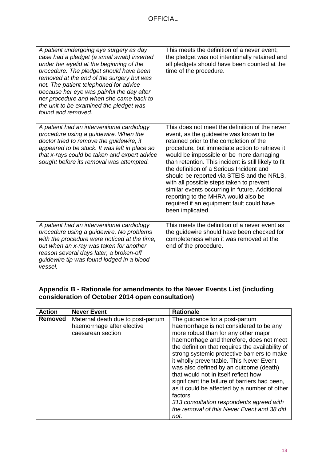| A patient undergoing eye surgery as day<br>case had a pledget (a small swab) inserted<br>under her eyelid at the beginning of the<br>procedure. The pledget should have been<br>removed at the end of the surgery but was<br>not. The patient telephoned for advice<br>because her eye was painful the day after<br>her procedure and when she came back to<br>the unit to be examined the pledget was<br>found and removed. | This meets the definition of a never event;<br>the pledget was not intentionally retained and<br>all pledgets should have been counted at the<br>time of the procedure.                                                                                                                                                                                                                                                                                                                                                                                                                   |
|------------------------------------------------------------------------------------------------------------------------------------------------------------------------------------------------------------------------------------------------------------------------------------------------------------------------------------------------------------------------------------------------------------------------------|-------------------------------------------------------------------------------------------------------------------------------------------------------------------------------------------------------------------------------------------------------------------------------------------------------------------------------------------------------------------------------------------------------------------------------------------------------------------------------------------------------------------------------------------------------------------------------------------|
| A patient had an interventional cardiology<br>procedure using a guidewire. When the<br>doctor tried to remove the guidewire, it<br>appeared to be stuck. It was left in place so<br>that x-rays could be taken and expert advice<br>sought before its removal was attempted.                                                                                                                                                 | This does not meet the definition of the never<br>event, as the guidewire was known to be<br>retained prior to the completion of the<br>procedure, but immediate action to retrieve it<br>would be impossible or be more damaging<br>than retention. This incident is still likely to fit<br>the definition of a Serious Incident and<br>should be reported via STEIS and the NRLS,<br>with all possible steps taken to prevent<br>similar events occurring in future. Additional<br>reporting to the MHRA would also be<br>required if an equipment fault could have<br>been implicated. |
| A patient had an interventional cardiology<br>procedure using a guidewire. No problems<br>with the procedure were noticed at the time,<br>but when an x-ray was taken for another<br>reason several days later, a broken-off<br>guidewire tip was found lodged in a blood<br>vessel.                                                                                                                                         | This meets the definition of a never event as<br>the guidewire should have been checked for<br>completeness when it was removed at the<br>end of the procedure.                                                                                                                                                                                                                                                                                                                                                                                                                           |

#### **Appendix B - Rationale for amendments to the Never Events List (including consideration of October 2014 open consultation)**

| <b>Action</b>  | <b>Never Event</b>                | <b>Rationale</b>                                 |
|----------------|-----------------------------------|--------------------------------------------------|
| <b>Removed</b> | Maternal death due to post-partum | The guidance for a post-partum                   |
|                | haemorrhage after elective        | haemorrhage is not considered to be any          |
|                | caesarean section                 | more robust than for any other major             |
|                |                                   | haemorrhage and therefore, does not meet         |
|                |                                   | the definition that requires the availability of |
|                |                                   | strong systemic protective barriers to make      |
|                |                                   | it wholly preventable. This Never Event          |
|                |                                   | was also defined by an outcome (death)           |
|                |                                   | that would not in itself reflect how             |
|                |                                   | significant the failure of barriers had been,    |
|                |                                   | as it could be affected by a number of other     |
|                |                                   | factors                                          |
|                |                                   | 313 consultation respondents agreed with         |
|                |                                   | the removal of this Never Event and 38 did       |
|                |                                   | not.                                             |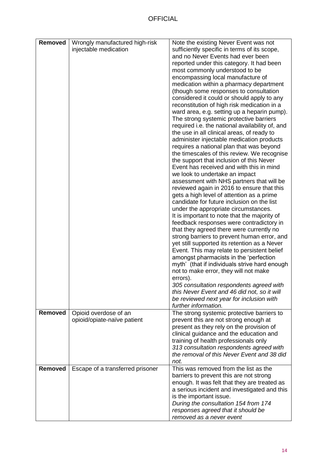| Removed        | Wrongly manufactured high-risk   | Note the existing Never Event was not           |
|----------------|----------------------------------|-------------------------------------------------|
|                | injectable medication            | sufficiently specific in terms of its scope,    |
|                |                                  | and no Never Events had ever been               |
|                |                                  | reported under this category. It had been       |
|                |                                  | most commonly understood to be                  |
|                |                                  | encompassing local manufacture of               |
|                |                                  | medication within a pharmacy department         |
|                |                                  | (though some responses to consultation          |
|                |                                  | considered it could or should apply to any      |
|                |                                  | reconstitution of high risk medication in a     |
|                |                                  | ward area, e.g. setting up a heparin pump).     |
|                |                                  |                                                 |
|                |                                  | The strong systemic protective barriers         |
|                |                                  | required i.e. the national availability of, and |
|                |                                  | the use in all clinical areas, of ready to      |
|                |                                  | administer injectable medication products       |
|                |                                  | requires a national plan that was beyond        |
|                |                                  | the timescales of this review. We recognise     |
|                |                                  | the support that inclusion of this Never        |
|                |                                  | Event has received and with this in mind        |
|                |                                  | we look to undertake an impact                  |
|                |                                  | assessment with NHS partners that will be       |
|                |                                  | reviewed again in 2016 to ensure that this      |
|                |                                  | gets a high level of attention as a prime       |
|                |                                  | candidate for future inclusion on the list      |
|                |                                  | under the appropriate circumstances.            |
|                |                                  | It is important to note that the majority of    |
|                |                                  | feedback responses were contradictory in        |
|                |                                  | that they agreed there were currently no        |
|                |                                  | strong barriers to prevent human error, and     |
|                |                                  | yet still supported its retention as a Never    |
|                |                                  | Event. This may relate to persistent belief     |
|                |                                  | amongst pharmacists in the 'perfection          |
|                |                                  | myth' (that if individuals strive hard enough   |
|                |                                  | not to make error, they will not make           |
|                |                                  | errors).                                        |
|                |                                  | 305 consultation respondents agreed with        |
|                |                                  | this Never Event and 46 did not, so it will     |
|                |                                  | be reviewed next year for inclusion with        |
|                |                                  | further information.                            |
| <b>Removed</b> | Opioid overdose of an            | The strong systemic protective barriers to      |
|                | opioid/opiate-naïve patient      | prevent this are not strong enough at           |
|                |                                  | present as they rely on the provision of        |
|                |                                  | clinical guidance and the education and         |
|                |                                  | training of health professionals only           |
|                |                                  | 313 consultation respondents agreed with        |
|                |                                  | the removal of this Never Event and 38 did      |
|                |                                  | not.                                            |
| Removed        | Escape of a transferred prisoner | This was removed from the list as the           |
|                |                                  | barriers to prevent this are not strong         |
|                |                                  | enough. It was felt that they are treated as    |
|                |                                  | a serious incident and investigated and this    |
|                |                                  | is the important issue.                         |
|                |                                  | During the consultation 154 from 174            |
|                |                                  | responses agreed that it should be              |
|                |                                  | removed as a never event                        |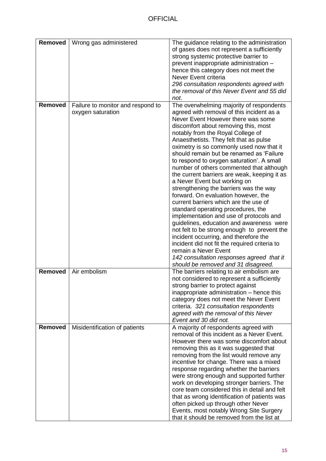| Removed        | Wrong gas administered                                 | The guidance relating to the administration<br>of gases does not represent a sufficiently<br>strong systemic protective barrier to<br>prevent inappropriate administration -<br>hence this category does not meet the<br>Never Event criteria<br>296 consultation respondents agreed with<br>the removal of this Never Event and 55 did                                                                                                                                                                                                                                                                                                                                                                                                                                                                                                                                                                                                                                                          |
|----------------|--------------------------------------------------------|--------------------------------------------------------------------------------------------------------------------------------------------------------------------------------------------------------------------------------------------------------------------------------------------------------------------------------------------------------------------------------------------------------------------------------------------------------------------------------------------------------------------------------------------------------------------------------------------------------------------------------------------------------------------------------------------------------------------------------------------------------------------------------------------------------------------------------------------------------------------------------------------------------------------------------------------------------------------------------------------------|
| <b>Removed</b> | Failure to monitor and respond to<br>oxygen saturation | not.<br>The overwhelming majority of respondents<br>agreed with removal of this incident as a<br>Never Event However there was some<br>discomfort about removing this, most<br>notably from the Royal College of<br>Anaesthetists. They felt that as pulse<br>oximetry is so commonly used now that it<br>should remain but be renamed as 'Failure<br>to respond to oxygen saturation'. A small<br>number of others commented that although<br>the current barriers are weak, keeping it as<br>a Never Event but working on<br>strengthening the barriers was the way<br>forward. On evaluation however, the<br>current barriers which are the use of<br>standard operating procedures, the<br>implementation and use of protocols and<br>guidelines, education and awareness were<br>not felt to be strong enough to prevent the<br>incident occurring, and therefore the<br>incident did not fit the required criteria to<br>remain a Never Event<br>142 consultation responses agreed that it |
| <b>Removed</b> | Air embolism                                           | should be removed and 31 disagreed.<br>The barriers relating to air embolism are<br>not considered to represent a sufficiently<br>strong barrier to protect against<br>inappropriate administration – hence this<br>category does not meet the Never Event<br>criteria. 321 consultation respondents<br>agreed with the removal of this Never<br>Event and 30 did not.                                                                                                                                                                                                                                                                                                                                                                                                                                                                                                                                                                                                                           |
| Removed        | Misidentification of patients                          | A majority of respondents agreed with<br>removal of this incident as a Never Event.<br>However there was some discomfort about<br>removing this as it was suggested that<br>removing from the list would remove any<br>incentive for change. There was a mixed<br>response regarding whether the barriers<br>were strong enough and supported further<br>work on developing stronger barriers. The<br>core team considered this in detail and felt<br>that as wrong identification of patients was<br>often picked up through other Never<br>Events, most notably Wrong Site Surgery<br>that it should be removed from the list at                                                                                                                                                                                                                                                                                                                                                               |